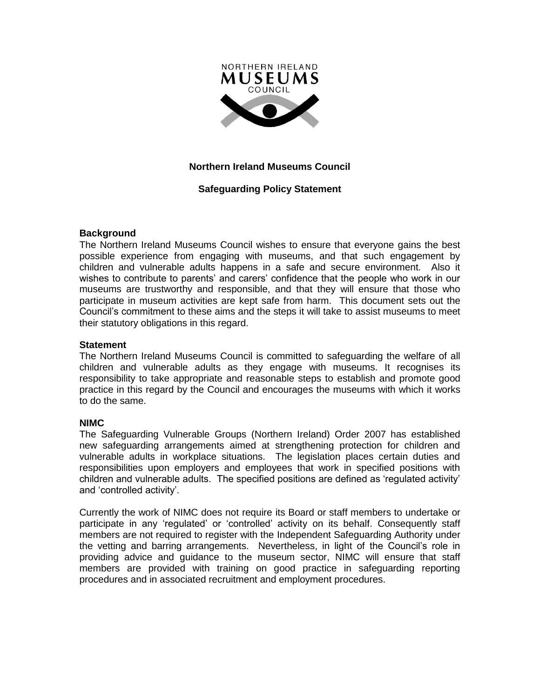

# **Northern Ireland Museums Council**

# **Safeguarding Policy Statement**

## **Background**

The Northern Ireland Museums Council wishes to ensure that everyone gains the best possible experience from engaging with museums, and that such engagement by children and vulnerable adults happens in a safe and secure environment. Also it wishes to contribute to parents' and carers' confidence that the people who work in our museums are trustworthy and responsible, and that they will ensure that those who participate in museum activities are kept safe from harm. This document sets out the Council's commitment to these aims and the steps it will take to assist museums to meet their statutory obligations in this regard.

### **Statement**

The Northern Ireland Museums Council is committed to safeguarding the welfare of all children and vulnerable adults as they engage with museums. It recognises its responsibility to take appropriate and reasonable steps to establish and promote good practice in this regard by the Council and encourages the museums with which it works to do the same.

### **NIMC**

The Safeguarding Vulnerable Groups (Northern Ireland) Order 2007 has established new safeguarding arrangements aimed at strengthening protection for children and vulnerable adults in workplace situations. The legislation places certain duties and responsibilities upon employers and employees that work in specified positions with children and vulnerable adults. The specified positions are defined as 'regulated activity' and 'controlled activity'.

Currently the work of NIMC does not require its Board or staff members to undertake or participate in any 'regulated' or 'controlled' activity on its behalf. Consequently staff members are not required to register with the Independent Safeguarding Authority under the vetting and barring arrangements. Nevertheless, in light of the Council's role in providing advice and guidance to the museum sector, NIMC will ensure that staff members are provided with training on good practice in safeguarding reporting procedures and in associated recruitment and employment procedures.